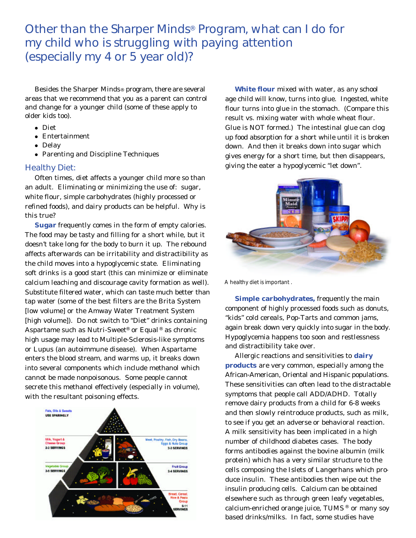Other than the Sharper Minds® Program, what can I do for my child who is struggling with paying attention (especially my 4 or 5 year old)?

Besides the Sharper Minds® program, there are several areas that we recommend that you as a parent can control and change for a younger child (some of these apply to older kids too).

- Diet
- $\bullet$  Entertainment
- Delay
- Parenting and Discipline Techniques

## Healthy Diet:

Often times, diet affects a younger child more so than an adult. Eliminating or minimizing the use of: sugar, white flour, simple carbohydrates (highly processed or refined foods), and dairy products can be helpful. Why is this true?

**Sugar** frequently comes in the form of empty calories. The food may be tasty and filling for a short while, but it doesn't take long for the body to burn it up. The rebound affects afterwards can be irritability and distractibility as the child moves into a hypoglycemic state. Eliminating soft drinks is a good start (this can minimize or eliminate calcium leaching and discourage cavity formation as well). Substitute filtered water, which can taste much better than tap water (some of the best filters are the Brita System [low volume] or the Amway Water Treatment System [high volume]). Do not switch to "Diet" drinks containing Aspartame such as Nutri-Sweet® or Equal® as chronic high usage may lead to Multiple-Sclerosis-like symptoms or Lupus (an autoimmune disease). When Aspartame enters the blood stream, and warms up, it breaks down into several components which include methanol which cannot be made nonpoisonous. Some people cannot secrete this methanol effectively (especially in volume), with the resultant poisoning effects.



**White flour** mixed with water, as any school age child will know, turns into glue. Ingested, white flour turns into glue in the stomach. (Compare this result vs. mixing water with whole wheat flour. Glue is NOT formed.) The intestinal glue can clog up food absorption for a short while until it is broken down. And then it breaks down into sugar which gives energy for a short time, but then disappears, giving the eater a hypoglycemic "let down".



*A healthy diet is important .*

**Simple carbohydrates,** frequently the main component of highly processed foods such as donuts, "kids" cold cereals, Pop-Tarts and common jams, again break down very quickly into sugar in the body. Hypoglycemia happens too soon and restlessness and distractibility take over.

Allergic reactions and sensitivities to **dairy products** are very common, especially among the African-American, Oriental and Hispanic populations. These sensitivities can often lead to the distractable symptoms that people call ADD/ADHD. Totally remove dairy products from a child for 6-8 weeks and then slowly reintroduce products, such as milk, to see if you get an adverse or behavioral reaction. A milk sensitivity has been implicated in a high number of childhood diabetes cases. The body forms antibodies against the bovine albumin (milk protein) which has a very similar structure to the cells composing the Islets of Langerhans which produce insulin. These antibodies then wipe out the insulin producing cells. Calcium can be obtained elsewhere such as through green leafy vegetables, calcium-enriched orange juice, TUMS ® or many soy based drinks/milks. In fact, some studies have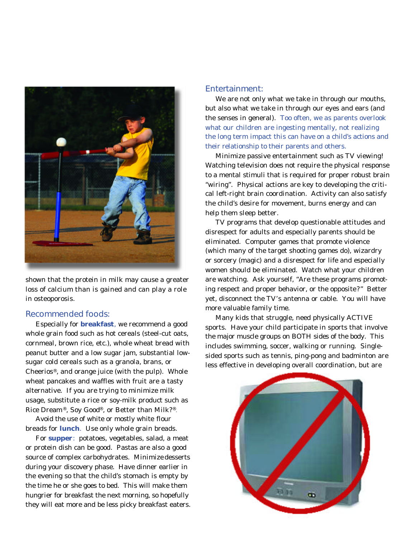

shown that the protein in milk may cause a greater loss of calcium than is gained and can play a role in osteoporosis.

## Recommended foods:

Especially for **breakfast**, we recommend a good whole grain food such as hot cereals (steel-cut oats, cornmeal, brown rice, etc.), whole wheat bread with peanut butter and a low sugar jam, substantial lowsugar cold cereals such as a granola, brans, or Cheerios®, and orange juice (with the pulp). Whole wheat pancakes and waffles with fruit are a tasty alternative. If you are trying to minimize milk usage, substitute a rice or soy-milk product such as Rice Dream®, Soy Good®, or Better than Milk?®.

Avoid the use of white or mostly white flour breads for **lunch**. Use only whole grain breads.

For **supper**: potatoes, vegetables, salad, a meat or protein dish can be good. Pastas are also a good source of complex carbohydrates. Minimize desserts during your discovery phase. Have dinner earlier in the evening so that the child's stomach is empty by the time he or she goes to bed. This will make them hungrier for breakfast the next morning, so hopefully they will eat more and be less picky breakfast eaters.

## Entertainment:

We are not only what we take in through our mouths, but also what we take in through our eyes and ears (and the senses in general). Too often, we as parents overlook what our children are ingesting mentally, not realizing the long term impact this can have on a child's actions and their relationship to their parents and others.

Minimize passive entertainment such as TV viewing! Watching television does not require the physical response to a mental stimuli that is required for proper robust brain "wiring". Physical actions are key to developing the critical left-right brain coordination. Activity can also satisfy the child's desire for movement, burns energy and can help them sleep better.

TV programs that develop questionable attitudes and disrespect for adults and especially parents should be eliminated. Computer games that promote violence (which many of the target shooting games do), wizardry or sorcery (magic) and a disrespect for life and especially women should be eliminated. Watch what your children are watching. Ask yourself, "Are these programs promoting respect and proper behavior, or the opposite?" Better yet, disconnect the TV's antenna or cable. You will have more valuable family time.

Many kids that struggle, need physically ACTIVE sports. Have your child participate in sports that involve the major muscle groups on BOTH sides of the body. This includes swimming, soccer, walking or running. Singlesided sports such as tennis, ping-pong and badminton are less effective in developing overall coordination, but are

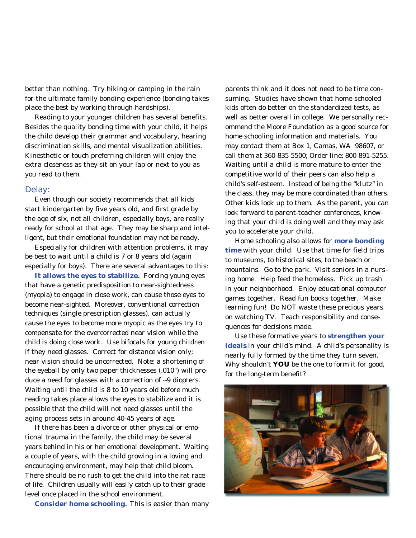better than nothing. Try hiking or camping in the rain for the ultimate family bonding experience (bonding takes place the best by working through hardships).

Reading to your younger children has several benefits. Besides the quality bonding time with your child, it helps the child develop their grammar and vocabulary, hearing discrimination skills, and mental visualization abilities. Kinesthetic or touch preferring children will enjoy the extra closeness as they sit on your lap or next to you as you read to them.

#### Delay:

Even though our society recommends that all kids start kindergarten by five years old, and first grade by the age of six, not all children, especially boys, are really ready for school at that age. They may be sharp and intelligent, but their emotional foundation may not be ready.

Especially for children with attention problems, it may be best to wait until a child is 7 or 8 years old (again especially for boys). There are several advantages to this:

**It allows the eyes to stabilize.** Forcing young eyes that have a genetic predisposition to near-sightedness (myopia) to engage in close work, can cause those eyes to become near-sighted. Moreover, conventional correction techniques (single prescription glasses), can actually cause the eyes to become more myopic as the eyes try to compensate for the overcorrected near vision while the child is doing close work. Use bifocals for young children if they need glasses. Correct for distance vision only; near vision should be uncorrected. Note: a shortening of the eyeball by only two paper thicknesses (.010") will produce a need for glasses with a correction of ~9 diopters. Waiting until the child is 8 to 10 years old before much reading takes place allows the eyes to stabilize and it is possible that the child will not need glasses until the aging process sets in around 40-45 years of age.

If there has been a divorce or other physical or emotional trauma in the family, the child may be several years behind in his or her emotional development. Waiting a couple of years, with the child growing in a loving and encouraging environment, may help that child bloom. There should be no rush to get the child into the rat race of life. Children usually will easily catch up to their grade level once placed in the school environment.

**Consider home schooling.** This is easier than many

parents think and it does not need to be time consuming. Studies have shown that home-schooled kids often do better on the standardized tests, as well as better overall in college. We personally recommend the Moore Foundation as a good source for home schooling information and materials. You may contact them at Box 1, Camas, WA 98607, or call them at 360-835-5500; Order line: 800-891-5255. Waiting until a child is more mature to enter the competitive world of their peers can also help a child's self-esteem. Instead of being the "klutz" in the class, they may be more coordinated than others. Other kids look up to them. As the parent, you can look forward to parent-teacher conferences, knowing that your child is doing well and they may ask you to accelerate your child.

Home schooling also allows for **more bonding time** with your child. Use that time for field trips to museums, to historical sites, to the beach or mountains. Go to the park. Visit seniors in a nursing home. Help feed the homeless. Pick up trash in your neighborhood. Enjoy educational computer games together. Read fun books together. Make learning fun! Do NOT waste these precious years on watching TV. Teach responsibility and consequences for decisions made.

Use these formative years to **strengthen your ideals** in your child's mind. A child's personality is nearly fully formed by the time they turn seven. Why shouldn't **YOU** be the one to form it for good, for the long-term benefit?